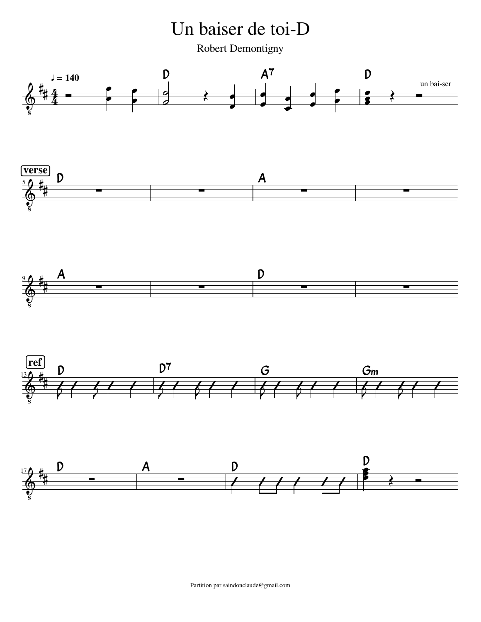Robert Demontigny Un baiser de toi-D  $17<sup>0</sup>$  $13<sup>0</sup>$ 9 $\Lambda$  $5$   $\Lambda$  $1111$  $\frac{Gm}{\beta}$  $\sqrt{1}$  $k \ell$   $k \ell$   $k \ell$   $k \ell$   $k \ell$   $k \ell$  $\frac{1}{2}$  $\overline{\phantom{a}}$  $\overline{\cdot}$  $\overline{\phantom{0}}$  $\frac{1}{\epsilon}$  $\overline{\phantom{0}}$  $\frac{1}{\epsilon}$  $\overline{\phantom{a}}$  $\frac{1}{\sqrt{2}}$  $\overline{\phantom{0}}$  $\frac{1}{\sqrt{2}}$  $\bullet$  $\frac{1}{2}$  $\overline{\bullet}$  $\bullet$  $\overline{\phantom{a}}$  $\epsilon$  $\overline{\phantom{a}}$  $\oint_0^{\frac{1}{4}}$  $\oint_{0}^{14} f$  $\oint_0^{\frac{1}{4}}$  $\oint_0^{\frac{1}{4}}$  $\oint_0^{\frac{14}{4}}$  ⋕ౣౣ౹<br>⋕  $\frac{1}{4}$ —<br>#µ  $\frac{1}{1}$   $\frac{1}{4}$  D  $#4$   $\left\langle \begin{array}{ccc} \frac{1}{2} & \frac{1}{2} & \frac{1}{2} & \frac{1}{2} & \frac{1}{2} & \frac{1}{2} & \frac{1}{2} & \frac{1}{2} & \frac{1}{2} & \frac{1}{2} & \frac{1}{2} & \frac{1}{2} & \frac{1}{2} & \frac{1}{2} & \frac{1}{2} & \frac{1}{2} & \frac{1}{2} & \frac{1}{2} & \frac{1}{2} & \frac{1}{2} & \frac{1}{2} & \frac{1}{2} & \frac{1}{2} & \frac{1}{2} & \frac{1}{2} & \frac{1}{2} & \$   $\begin{array}{c|c|c|c|c} \hline \textbf{r} & \textbf{r} & \textbf{r} \end{array}$   $\blacksquare$  . The contract of  $\blacksquare$  $\left\langle \begin{array}{ccc} \end{array} \right\rangle$  $\blacksquare$  . The contract of  $\blacksquare$  $\begin{array}{ccc} \begin{array}{ccc} \text{--} & \text{--} & \text{--} & \text{--} & \text{--} & \text{--} \\ \text{--} & \text{--} & \text{--} & \text{--} & \text{--} & \text{--} \end{array} \end{array}$   $l = 140$ un bai-ser **ref verse** D  $D^7$  G Gm D A D D D A A  $A^7$  D D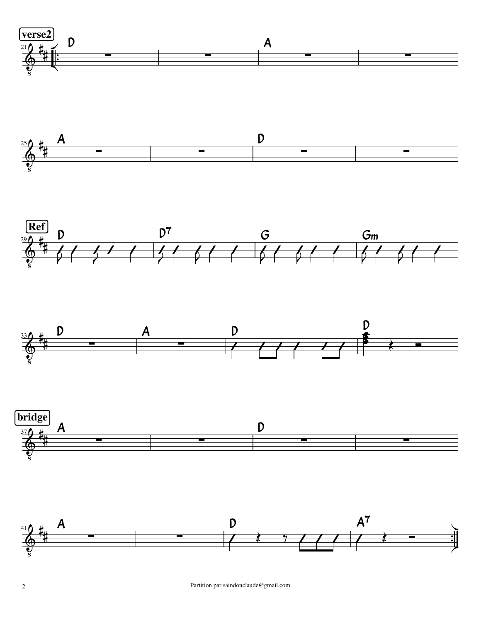